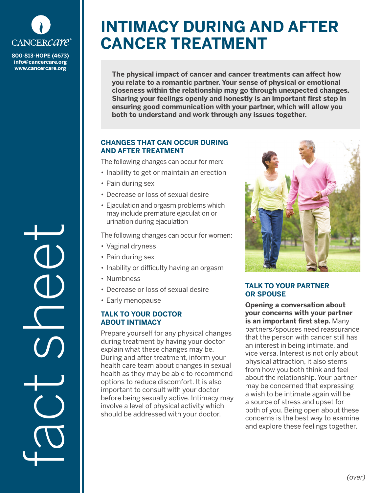

**800-813-HOPE (4673) info@cancercare.org www.cancercare.org**

fact see

# **INTIMACY DURING AND AFTER CANCER TREATMENT**

**The physical impact of cancer and cancer treatments can affect how you relate to a romantic partner. Your sense of physical or emotional closeness within the relationship may go through unexpected changes. Sharing your feelings openly and honestly is an important first step in ensuring good communication with your partner, which will allow you both to understand and work through any issues together.**

## **CHANGES THAT CAN OCCUR DURING AND AFTER TREATMENT**

The following changes can occur for men:

- Inability to get or maintain an erection
- Pain during sex
- Decrease or loss of sexual desire
- Ejaculation and orgasm problems which may include premature ejaculation or urination during ejaculation

The following changes can occur for women:

- Vaginal dryness
- Pain during sex
- Inability or difficulty having an orgasm
- Numbness
- Decrease or loss of sexual desire
- Early menopause

## **TALK TO YOUR DOCTOR ABOUT INTIMACY**

Prepare yourself for any physical changes during treatment by having your doctor explain what these changes may be. During and after treatment, inform your health care team about changes in sexual health as they may be able to recommend options to reduce discomfort. It is also important to consult with your doctor before being sexually active. Intimacy may involve a level of physical activity which should be addressed with your doctor.



## **TALK TO YOUR PARTNER OR SPOUSE**

**Opening a conversation about your concerns with your partner is an important first step.** Many partners/spouses need reassurance that the person with cancer still has an interest in being intimate, and vice versa. Interest is not only about physical attraction, it also stems from how you both think and feel about the relationship. Your partner may be concerned that expressing a wish to be intimate again will be a source of stress and upset for both of you. Being open about these concerns is the best way to examine and explore these feelings together.